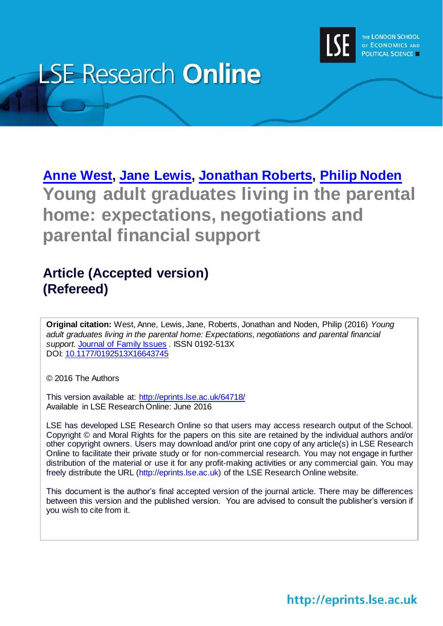

# **LSE Research Online**

**[Anne West,](http://www.lse.ac.uk/researchAndExpertise/Experts/profile.aspx?KeyValue=a.west@lse.ac.uk) [Jane Lewis,](http://www.lse.ac.uk/researchAndExpertise/Experts/profile.aspx?KeyValue=j.lewis@lse.ac.uk) [Jonathan Roberts,](http://www.lse.ac.uk/researchAndExpertise/Experts/profile.aspx?KeyValue=j.j.g.roberts@lse.ac.uk) [Philip Noden](http://www.lse.ac.uk/researchAndExpertise/Experts/profile.aspx?KeyValue=p.noden@lse.ac.uk) Young adult graduates living in the parental home: expectations, negotiations and parental financial support**

## **Article (Accepted version) (Refereed)**

**Original citation:** West, Anne, Lewis, Jane, Roberts, Jonathan and Noden, Philip (2016) *Young adult graduates living in the parental home: Expectations, negotiations and parental financial support.* [Journal of Family Issues](http://jfi.sagepub.com/) . ISSN 0192-513X DOI: [10.1177/0192513X16643745](http://dx.doi.org/10.1177/0192513X16643745)

© 2016 The Authors

This version available at:<http://eprints.lse.ac.uk/64718/> Available in LSE Research Online: June 2016

LSE has developed LSE Research Online so that users may access research output of the School. Copyright © and Moral Rights for the papers on this site are retained by the individual authors and/or other copyright owners. Users may download and/or print one copy of any article(s) in LSE Research Online to facilitate their private study or for non-commercial research. You may not engage in further distribution of the material or use it for any profit-making activities or any commercial gain. You may freely distribute the URL (http://eprints.lse.ac.uk) of the LSE Research Online website.

This document is the author's final accepted version of the journal article. There may be differences between this version and the published version. You are advised to consult the publisher's version if you wish to cite from it.

http://eprints.lse.ac.uk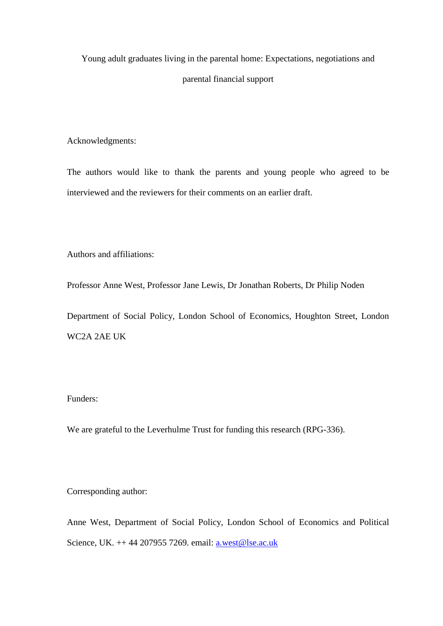Young adult graduates living in the parental home: Expectations, negotiations and parental financial support

Acknowledgments:

The authors would like to thank the parents and young people who agreed to be interviewed and the reviewers for their comments on an earlier draft.

Authors and affiliations:

Professor Anne West, Professor Jane Lewis, Dr Jonathan Roberts, Dr Philip Noden

Department of Social Policy, London School of Economics, Houghton Street, London WC2A 2AE UK

Funders:

We are grateful to the Leverhulme Trust for funding this research (RPG-336).

Corresponding author:

Anne West, Department of Social Policy, London School of Economics and Political Science, UK. ++ 44 207955 7269. email: [a.west@lse.ac.uk](mailto:a.west@lse.ac.uk)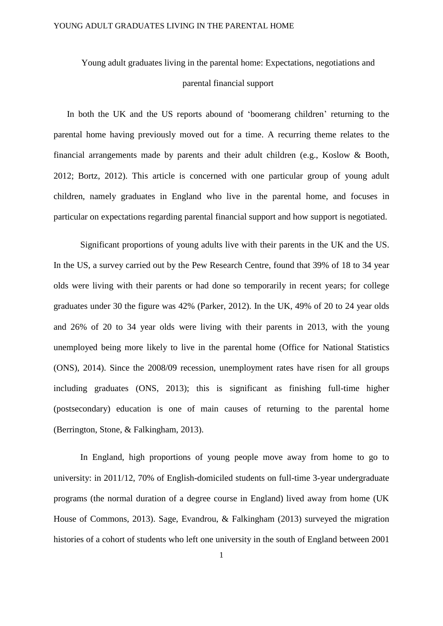## Young adult graduates living in the parental home: Expectations, negotiations and parental financial support

In both the UK and the US reports abound of 'boomerang children' returning to the parental home having previously moved out for a time. A recurring theme relates to the financial arrangements made by parents and their adult children (e.g., Koslow & Booth, 2012; Bortz, 2012). This article is concerned with one particular group of young adult children, namely graduates in England who live in the parental home, and focuses in particular on expectations regarding parental financial support and how support is negotiated.

Significant proportions of young adults live with their parents in the UK and the US. In the US, a survey carried out by the Pew Research Centre, found that 39% of 18 to 34 year olds were living with their parents or had done so temporarily in recent years; for college graduates under 30 the figure was 42% (Parker, 2012). In the UK, 49% of 20 to 24 year olds and 26% of 20 to 34 year olds were living with their parents in 2013, with the young unemployed being more likely to live in the parental home (Office for National Statistics (ONS), 2014). Since the 2008/09 recession, unemployment rates have risen for all groups including graduates (ONS, 2013); this is significant as finishing full-time higher (postsecondary) education is one of main causes of returning to the parental home (Berrington, Stone, & Falkingham, 2013).

In England, high proportions of young people move away from home to go to university: in 2011/12, 70% of English-domiciled students on full-time 3-year undergraduate programs (the normal duration of a degree course in England) lived away from home (UK House of Commons, 2013). Sage, Evandrou, & Falkingham (2013) surveyed the migration histories of a cohort of students who left one university in the south of England between 2001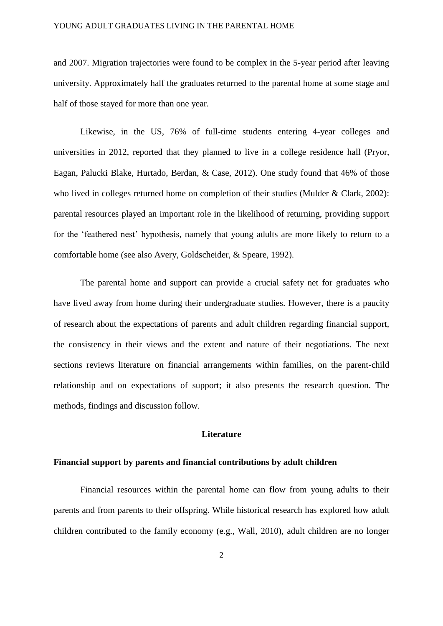and 2007. Migration trajectories were found to be complex in the 5-year period after leaving university. Approximately half the graduates returned to the parental home at some stage and half of those stayed for more than one year.

Likewise, in the US, 76% of full-time students entering 4-year colleges and universities in 2012, reported that they planned to live in a college residence hall (Pryor, Eagan, Palucki Blake, Hurtado, Berdan, & Case, 2012). One study found that 46% of those who lived in colleges returned home on completion of their studies (Mulder & Clark, 2002): parental resources played an important role in the likelihood of returning, providing support for the 'feathered nest' hypothesis, namely that young adults are more likely to return to a comfortable home (see also Avery, Goldscheider, & Speare, 1992).

The parental home and support can provide a crucial safety net for graduates who have lived away from home during their undergraduate studies. However, there is a paucity of research about the expectations of parents and adult children regarding financial support, the consistency in their views and the extent and nature of their negotiations. The next sections reviews literature on financial arrangements within families, on the parent-child relationship and on expectations of support; it also presents the research question. The methods, findings and discussion follow.

#### **Literature**

#### **Financial support by parents and financial contributions by adult children**

Financial resources within the parental home can flow from young adults to their parents and from parents to their offspring. While historical research has explored how adult children contributed to the family economy (e.g., Wall, 2010), adult children are no longer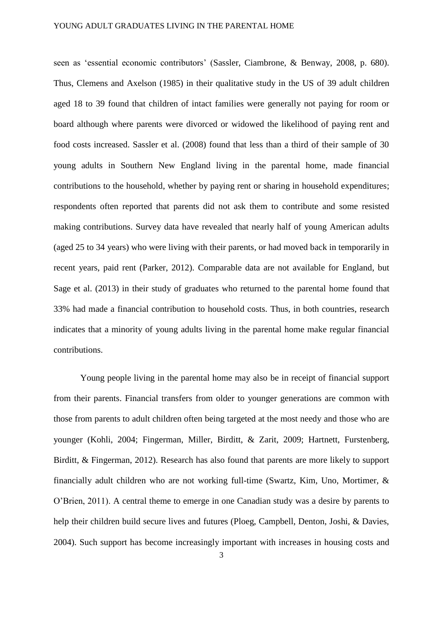seen as 'essential economic contributors' (Sassler, Ciambrone, & Benway, 2008, p. 680). Thus, Clemens and Axelson (1985) in their qualitative study in the US of 39 adult children aged 18 to 39 found that children of intact families were generally not paying for room or board although where parents were divorced or widowed the likelihood of paying rent and food costs increased. Sassler et al. (2008) found that less than a third of their sample of 30 young adults in Southern New England living in the parental home, made financial contributions to the household, whether by paying rent or sharing in household expenditures; respondents often reported that parents did not ask them to contribute and some resisted making contributions. Survey data have revealed that nearly half of young American adults (aged 25 to 34 years) who were living with their parents, or had moved back in temporarily in recent years, paid rent (Parker, 2012). Comparable data are not available for England, but Sage et al. (2013) in their study of graduates who returned to the parental home found that 33% had made a financial contribution to household costs. Thus, in both countries, research indicates that a minority of young adults living in the parental home make regular financial contributions.

Young people living in the parental home may also be in receipt of financial support from their parents. Financial transfers from older to younger generations are common with those from parents to adult children often being targeted at the most needy and those who are younger (Kohli, 2004; Fingerman, Miller, Birditt, & Zarit, 2009; Hartnett, Furstenberg, Birditt, & Fingerman, 2012). Research has also found that parents are more likely to support financially adult children who are not working full-time (Swartz, Kim, Uno, Mortimer, & O'Brien, 2011). A central theme to emerge in one Canadian study was a desire by parents to help their children build secure lives and futures (Ploeg, Campbell, Denton, Joshi, & Davies, 2004). Such support has become increasingly important with increases in housing costs and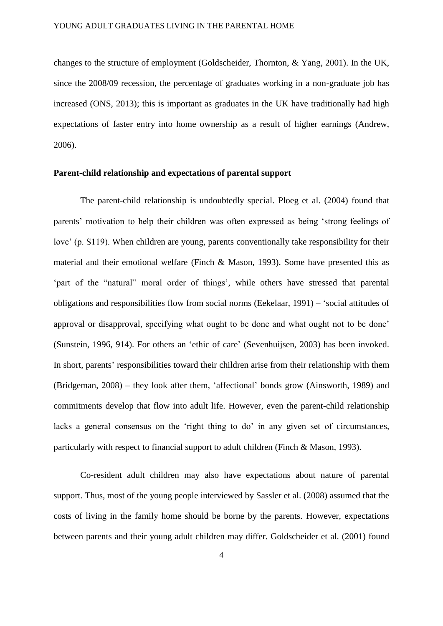changes to the structure of employment (Goldscheider, Thornton, & Yang, 2001). In the UK, since the 2008/09 recession, the percentage of graduates working in a non-graduate job has increased (ONS, 2013); this is important as graduates in the UK have traditionally had high expectations of faster entry into home ownership as a result of higher earnings (Andrew, 2006).

#### **Parent-child relationship and expectations of parental support**

The parent-child relationship is undoubtedly special. Ploeg et al. (2004) found that parents' motivation to help their children was often expressed as being 'strong feelings of love' (p. S119). When children are young, parents conventionally take responsibility for their material and their emotional welfare (Finch & Mason, 1993). Some have presented this as 'part of the "natural" moral order of things', while others have stressed that parental obligations and responsibilities flow from social norms (Eekelaar, 1991) – 'social attitudes of approval or disapproval, specifying what ought to be done and what ought not to be done' (Sunstein, 1996, 914). For others an 'ethic of care' (Sevenhuijsen, 2003) has been invoked. In short, parents' responsibilities toward their children arise from their relationship with them (Bridgeman, 2008) – they look after them, 'affectional' bonds grow (Ainsworth, 1989) and commitments develop that flow into adult life. However, even the parent-child relationship lacks a general consensus on the 'right thing to do' in any given set of circumstances, particularly with respect to financial support to adult children (Finch & Mason, 1993).

Co-resident adult children may also have expectations about nature of parental support. Thus, most of the young people interviewed by Sassler et al. (2008) assumed that the costs of living in the family home should be borne by the parents. However, expectations between parents and their young adult children may differ. Goldscheider et al. (2001) found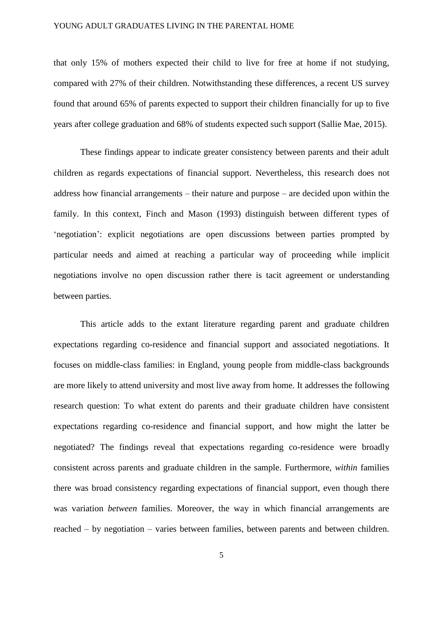that only 15% of mothers expected their child to live for free at home if not studying, compared with 27% of their children. Notwithstanding these differences, a recent US survey found that around 65% of parents expected to support their children financially for up to five years after college graduation and 68% of students expected such support (Sallie Mae, 2015).

These findings appear to indicate greater consistency between parents and their adult children as regards expectations of financial support. Nevertheless, this research does not address how financial arrangements – their nature and purpose – are decided upon within the family. In this context, Finch and Mason (1993) distinguish between different types of 'negotiation': explicit negotiations are open discussions between parties prompted by particular needs and aimed at reaching a particular way of proceeding while implicit negotiations involve no open discussion rather there is tacit agreement or understanding between parties.

This article adds to the extant literature regarding parent and graduate children expectations regarding co-residence and financial support and associated negotiations. It focuses on middle-class families: in England, young people from middle-class backgrounds are more likely to attend university and most live away from home. It addresses the following research question: To what extent do parents and their graduate children have consistent expectations regarding co-residence and financial support, and how might the latter be negotiated? The findings reveal that expectations regarding co-residence were broadly consistent across parents and graduate children in the sample. Furthermore, *within* families there was broad consistency regarding expectations of financial support, even though there was variation *between* families. Moreover, the way in which financial arrangements are reached – by negotiation – varies between families, between parents and between children.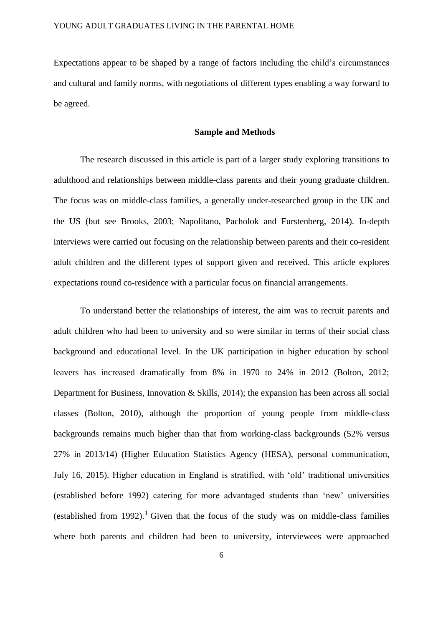Expectations appear to be shaped by a range of factors including the child's circumstances and cultural and family norms, with negotiations of different types enabling a way forward to be agreed.

#### **Sample and Methods**

The research discussed in this article is part of a larger study exploring transitions to adulthood and relationships between middle-class parents and their young graduate children. The focus was on middle-class families, a generally under-researched group in the UK and the US (but see Brooks, 2003; Napolitano, Pacholok and Furstenberg, 2014). In-depth interviews were carried out focusing on the relationship between parents and their co-resident adult children and the different types of support given and received. This article explores expectations round co-residence with a particular focus on financial arrangements.

To understand better the relationships of interest, the aim was to recruit parents and adult children who had been to university and so were similar in terms of their social class background and educational level. In the UK participation in higher education by school leavers has increased dramatically from 8% in 1970 to 24% in 2012 (Bolton, 2012; Department for Business, Innovation & Skills, 2014); the expansion has been across all social classes (Bolton, 2010), although the proportion of young people from middle-class backgrounds remains much higher than that from working-class backgrounds (52% versus 27% in 2013/14) (Higher Education Statistics Agency (HESA), personal communication, July 16, 2015). Higher education in England is stratified, with 'old' traditional universities (established before 1992) catering for more advantaged students than 'new' universities (established from 1992). <sup>1</sup> Given that the focus of the study was on middle-class families where both parents and children had been to university, interviewees were approached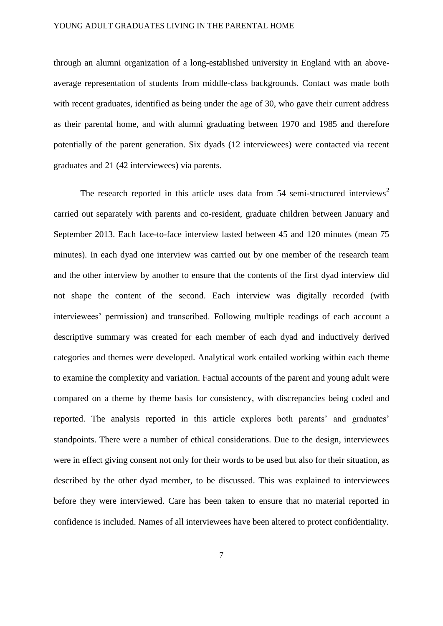through an alumni organization of a long-established university in England with an aboveaverage representation of students from middle-class backgrounds. Contact was made both with recent graduates, identified as being under the age of 30, who gave their current address as their parental home, and with alumni graduating between 1970 and 1985 and therefore potentially of the parent generation. Six dyads (12 interviewees) were contacted via recent graduates and 21 (42 interviewees) via parents.

The research reported in this article uses data from  $54$  semi-structured interviews<sup>2</sup> carried out separately with parents and co-resident, graduate children between January and September 2013. Each face-to-face interview lasted between 45 and 120 minutes (mean 75 minutes). In each dyad one interview was carried out by one member of the research team and the other interview by another to ensure that the contents of the first dyad interview did not shape the content of the second. Each interview was digitally recorded (with interviewees' permission) and transcribed. Following multiple readings of each account a descriptive summary was created for each member of each dyad and inductively derived categories and themes were developed. Analytical work entailed working within each theme to examine the complexity and variation. Factual accounts of the parent and young adult were compared on a theme by theme basis for consistency, with discrepancies being coded and reported. The analysis reported in this article explores both parents' and graduates' standpoints. There were a number of ethical considerations. Due to the design, interviewees were in effect giving consent not only for their words to be used but also for their situation, as described by the other dyad member, to be discussed. This was explained to interviewees before they were interviewed. Care has been taken to ensure that no material reported in confidence is included. Names of all interviewees have been altered to protect confidentiality.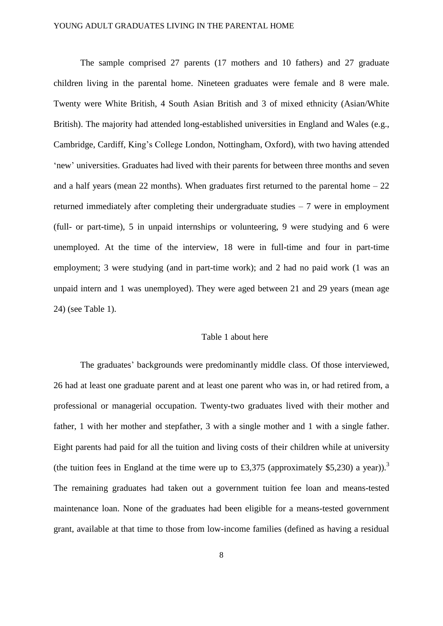The sample comprised 27 parents (17 mothers and 10 fathers) and 27 graduate children living in the parental home. Nineteen graduates were female and 8 were male. Twenty were White British, 4 South Asian British and 3 of mixed ethnicity (Asian/White British). The majority had attended long-established universities in England and Wales (e.g., Cambridge, Cardiff, King's College London, Nottingham, Oxford), with two having attended 'new' universities. Graduates had lived with their parents for between three months and seven and a half years (mean 22 months). When graduates first returned to the parental home  $-22$ returned immediately after completing their undergraduate studies – 7 were in employment (full- or part-time), 5 in unpaid internships or volunteering, 9 were studying and 6 were unemployed. At the time of the interview, 18 were in full-time and four in part-time employment; 3 were studying (and in part-time work); and 2 had no paid work (1 was an unpaid intern and 1 was unemployed). They were aged between 21 and 29 years (mean age 24) (see Table 1).

#### Table 1 about here

The graduates' backgrounds were predominantly middle class. Of those interviewed, 26 had at least one graduate parent and at least one parent who was in, or had retired from, a professional or managerial occupation. Twenty-two graduates lived with their mother and father, 1 with her mother and stepfather, 3 with a single mother and 1 with a single father. Eight parents had paid for all the tuition and living costs of their children while at university (the tuition fees in England at the time were up to £3,375 (approximately \$5,230) a year)).<sup>3</sup> The remaining graduates had taken out a government tuition fee loan and means-tested maintenance loan. None of the graduates had been eligible for a means-tested government grant, available at that time to those from low-income families (defined as having a residual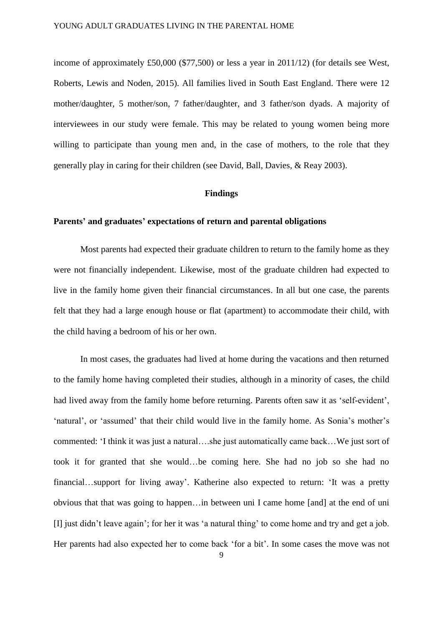income of approximately £50,000 (\$77,500) or less a year in 2011/12) (for details see West, Roberts, Lewis and Noden, 2015). All families lived in South East England. There were 12 mother/daughter, 5 mother/son, 7 father/daughter, and 3 father/son dyads. A majority of interviewees in our study were female. This may be related to young women being more willing to participate than young men and, in the case of mothers, to the role that they generally play in caring for their children (see David, Ball, Davies, & Reay 2003).

#### **Findings**

#### **Parents' and graduates' expectations of return and parental obligations**

Most parents had expected their graduate children to return to the family home as they were not financially independent. Likewise, most of the graduate children had expected to live in the family home given their financial circumstances. In all but one case, the parents felt that they had a large enough house or flat (apartment) to accommodate their child, with the child having a bedroom of his or her own.

In most cases, the graduates had lived at home during the vacations and then returned to the family home having completed their studies, although in a minority of cases, the child had lived away from the family home before returning. Parents often saw it as 'self-evident', 'natural', or 'assumed' that their child would live in the family home. As Sonia's mother's commented: 'I think it was just a natural….she just automatically came back…We just sort of took it for granted that she would…be coming here. She had no job so she had no financial…support for living away'. Katherine also expected to return: 'It was a pretty obvious that that was going to happen…in between uni I came home [and] at the end of uni [I] just didn't leave again'; for her it was 'a natural thing' to come home and try and get a job. Her parents had also expected her to come back 'for a bit'. In some cases the move was not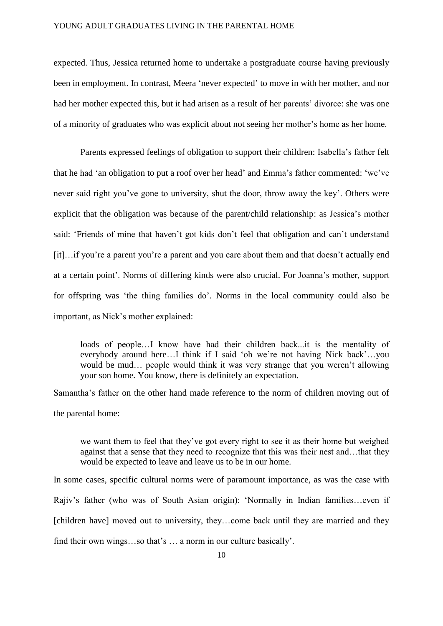expected. Thus, Jessica returned home to undertake a postgraduate course having previously been in employment. In contrast, Meera 'never expected' to move in with her mother, and nor had her mother expected this, but it had arisen as a result of her parents' divorce: she was one of a minority of graduates who was explicit about not seeing her mother's home as her home.

Parents expressed feelings of obligation to support their children: Isabella's father felt that he had 'an obligation to put a roof over her head' and Emma's father commented: 'we've never said right you've gone to university, shut the door, throw away the key'. Others were explicit that the obligation was because of the parent/child relationship: as Jessica's mother said: 'Friends of mine that haven't got kids don't feel that obligation and can't understand [it]…if you're a parent you're a parent and you care about them and that doesn't actually end at a certain point'. Norms of differing kinds were also crucial. For Joanna's mother, support for offspring was 'the thing families do'. Norms in the local community could also be important, as Nick's mother explained:

loads of people…I know have had their children back...it is the mentality of everybody around here…I think if I said 'oh we're not having Nick back'…you would be mud… people would think it was very strange that you weren't allowing your son home. You know, there is definitely an expectation.

Samantha's father on the other hand made reference to the norm of children moving out of the parental home:

we want them to feel that they've got every right to see it as their home but weighed against that a sense that they need to recognize that this was their nest and…that they would be expected to leave and leave us to be in our home.

In some cases, specific cultural norms were of paramount importance, as was the case with Rajiv's father (who was of South Asian origin): 'Normally in Indian families…even if [children have] moved out to university, they...come back until they are married and they find their own wings…so that's … a norm in our culture basically'.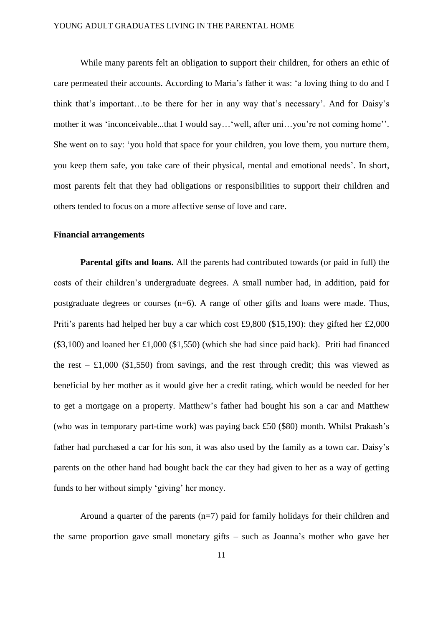While many parents felt an obligation to support their children, for others an ethic of care permeated their accounts. According to Maria's father it was: 'a loving thing to do and I think that's important…to be there for her in any way that's necessary'. And for Daisy's mother it was 'inconceivable...that I would say…'well, after uni…you're not coming home''. She went on to say: 'you hold that space for your children, you love them, you nurture them, you keep them safe, you take care of their physical, mental and emotional needs'. In short, most parents felt that they had obligations or responsibilities to support their children and others tended to focus on a more affective sense of love and care.

#### **Financial arrangements**

**Parental gifts and loans.** All the parents had contributed towards (or paid in full) the costs of their children's undergraduate degrees. A small number had, in addition, paid for postgraduate degrees or courses (n=6). A range of other gifts and loans were made. Thus, Priti's parents had helped her buy a car which cost £9,800 (\$15,190): they gifted her £2,000 (\$3,100) and loaned her £1,000 (\$1,550) (which she had since paid back). Priti had financed the rest –  $\text{\pounds}1,000$  (\$1,550) from savings, and the rest through credit; this was viewed as beneficial by her mother as it would give her a credit rating, which would be needed for her to get a mortgage on a property. Matthew's father had bought his son a car and Matthew (who was in temporary part-time work) was paying back £50 (\$80) month. Whilst Prakash's father had purchased a car for his son, it was also used by the family as a town car. Daisy's parents on the other hand had bought back the car they had given to her as a way of getting funds to her without simply 'giving' her money.

Around a quarter of the parents  $(n=7)$  paid for family holidays for their children and the same proportion gave small monetary gifts – such as Joanna's mother who gave her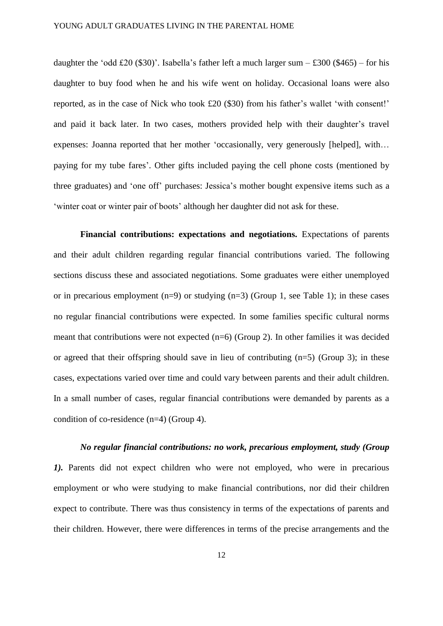daughter the 'odd £20 (\$30)'. Isabella's father left a much larger sum  $-$  £300 (\$465) – for his daughter to buy food when he and his wife went on holiday. Occasional loans were also reported, as in the case of Nick who took £20 (\$30) from his father's wallet 'with consent!' and paid it back later. In two cases, mothers provided help with their daughter's travel expenses: Joanna reported that her mother 'occasionally, very generously [helped], with… paying for my tube fares'. Other gifts included paying the cell phone costs (mentioned by three graduates) and 'one off' purchases: Jessica's mother bought expensive items such as a 'winter coat or winter pair of boots' although her daughter did not ask for these.

**Financial contributions: expectations and negotiations.** Expectations of parents and their adult children regarding regular financial contributions varied. The following sections discuss these and associated negotiations. Some graduates were either unemployed or in precarious employment (n=9) or studying (n=3) (Group 1, see Table 1); in these cases no regular financial contributions were expected. In some families specific cultural norms meant that contributions were not expected (n=6) (Group 2). In other families it was decided or agreed that their offspring should save in lieu of contributing (n=5) (Group 3); in these cases, expectations varied over time and could vary between parents and their adult children. In a small number of cases, regular financial contributions were demanded by parents as a condition of co-residence (n=4) (Group 4).

#### *No regular financial contributions: no work, precarious employment, study (Group*

*1).* Parents did not expect children who were not employed, who were in precarious employment or who were studying to make financial contributions, nor did their children expect to contribute. There was thus consistency in terms of the expectations of parents and their children. However, there were differences in terms of the precise arrangements and the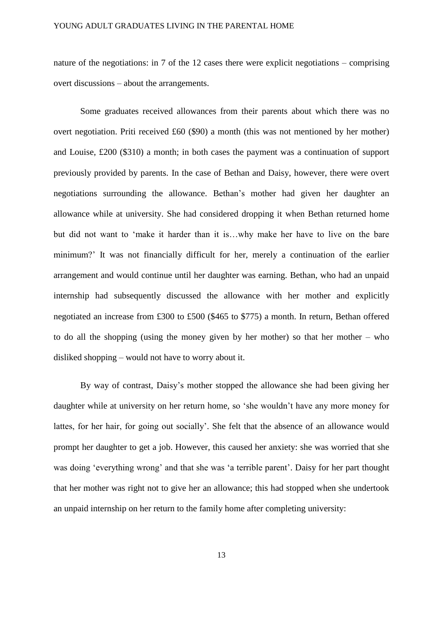nature of the negotiations: in 7 of the 12 cases there were explicit negotiations – comprising overt discussions – about the arrangements.

Some graduates received allowances from their parents about which there was no overt negotiation. Priti received £60 (\$90) a month (this was not mentioned by her mother) and Louise, £200 (\$310) a month; in both cases the payment was a continuation of support previously provided by parents. In the case of Bethan and Daisy, however, there were overt negotiations surrounding the allowance. Bethan's mother had given her daughter an allowance while at university. She had considered dropping it when Bethan returned home but did not want to 'make it harder than it is…why make her have to live on the bare minimum?' It was not financially difficult for her, merely a continuation of the earlier arrangement and would continue until her daughter was earning. Bethan, who had an unpaid internship had subsequently discussed the allowance with her mother and explicitly negotiated an increase from £300 to £500 (\$465 to \$775) a month. In return, Bethan offered to do all the shopping (using the money given by her mother) so that her mother – who disliked shopping – would not have to worry about it.

By way of contrast, Daisy's mother stopped the allowance she had been giving her daughter while at university on her return home, so 'she wouldn't have any more money for lattes, for her hair, for going out socially'. She felt that the absence of an allowance would prompt her daughter to get a job. However, this caused her anxiety: she was worried that she was doing 'everything wrong' and that she was 'a terrible parent'. Daisy for her part thought that her mother was right not to give her an allowance; this had stopped when she undertook an unpaid internship on her return to the family home after completing university: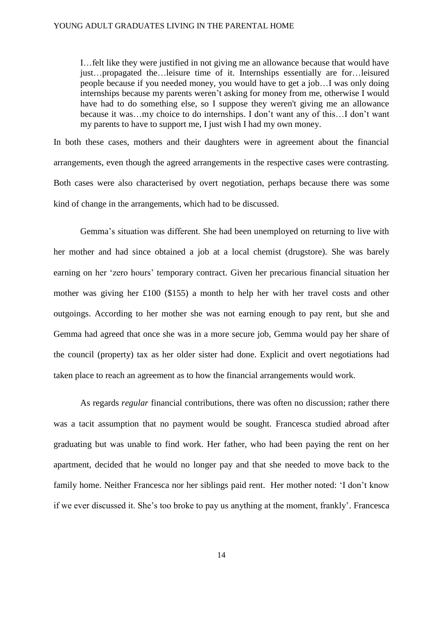I…felt like they were justified in not giving me an allowance because that would have just…propagated the…leisure time of it. Internships essentially are for…leisured people because if you needed money, you would have to get a job…I was only doing internships because my parents weren't asking for money from me, otherwise I would have had to do something else, so I suppose they weren't giving me an allowance because it was…my choice to do internships. I don't want any of this…I don't want my parents to have to support me, I just wish I had my own money.

In both these cases, mothers and their daughters were in agreement about the financial arrangements, even though the agreed arrangements in the respective cases were contrasting. Both cases were also characterised by overt negotiation, perhaps because there was some kind of change in the arrangements, which had to be discussed.

Gemma's situation was different. She had been unemployed on returning to live with her mother and had since obtained a job at a local chemist (drugstore). She was barely earning on her 'zero hours' temporary contract. Given her precarious financial situation her mother was giving her £100 (\$155) a month to help her with her travel costs and other outgoings. According to her mother she was not earning enough to pay rent, but she and Gemma had agreed that once she was in a more secure job, Gemma would pay her share of the council (property) tax as her older sister had done. Explicit and overt negotiations had taken place to reach an agreement as to how the financial arrangements would work.

As regards *regular* financial contributions, there was often no discussion; rather there was a tacit assumption that no payment would be sought. Francesca studied abroad after graduating but was unable to find work. Her father, who had been paying the rent on her apartment, decided that he would no longer pay and that she needed to move back to the family home. Neither Francesca nor her siblings paid rent. Her mother noted: 'I don't know if we ever discussed it. She's too broke to pay us anything at the moment, frankly'. Francesca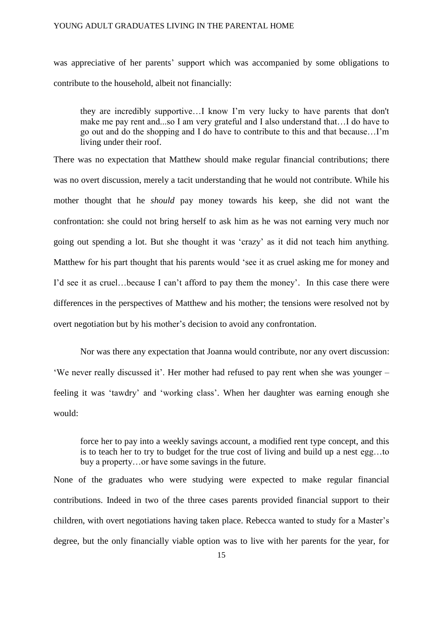was appreciative of her parents' support which was accompanied by some obligations to contribute to the household, albeit not financially:

they are incredibly supportive…I know I'm very lucky to have parents that don't make me pay rent and...so I am very grateful and I also understand that…I do have to go out and do the shopping and I do have to contribute to this and that because…I'm living under their roof.

There was no expectation that Matthew should make regular financial contributions; there was no overt discussion, merely a tacit understanding that he would not contribute. While his mother thought that he *should* pay money towards his keep, she did not want the confrontation: she could not bring herself to ask him as he was not earning very much nor going out spending a lot. But she thought it was 'crazy' as it did not teach him anything. Matthew for his part thought that his parents would 'see it as cruel asking me for money and I'd see it as cruel…because I can't afford to pay them the money'. In this case there were differences in the perspectives of Matthew and his mother; the tensions were resolved not by overt negotiation but by his mother's decision to avoid any confrontation.

Nor was there any expectation that Joanna would contribute, nor any overt discussion: 'We never really discussed it'. Her mother had refused to pay rent when she was younger – feeling it was 'tawdry' and 'working class'. When her daughter was earning enough she would:

force her to pay into a weekly savings account, a modified rent type concept, and this is to teach her to try to budget for the true cost of living and build up a nest egg…to buy a property…or have some savings in the future.

None of the graduates who were studying were expected to make regular financial contributions. Indeed in two of the three cases parents provided financial support to their children, with overt negotiations having taken place. Rebecca wanted to study for a Master's degree, but the only financially viable option was to live with her parents for the year, for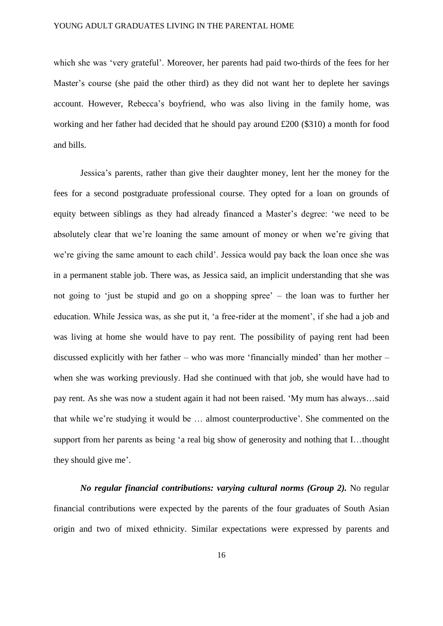which she was 'very grateful'. Moreover, her parents had paid two-thirds of the fees for her Master's course (she paid the other third) as they did not want her to deplete her savings account. However, Rebecca's boyfriend, who was also living in the family home, was working and her father had decided that he should pay around £200 (\$310) a month for food and bills.

Jessica's parents, rather than give their daughter money, lent her the money for the fees for a second postgraduate professional course. They opted for a loan on grounds of equity between siblings as they had already financed a Master's degree: 'we need to be absolutely clear that we're loaning the same amount of money or when we're giving that we're giving the same amount to each child'. Jessica would pay back the loan once she was in a permanent stable job. There was, as Jessica said, an implicit understanding that she was not going to 'just be stupid and go on a shopping spree' – the loan was to further her education. While Jessica was, as she put it, 'a free-rider at the moment', if she had a job and was living at home she would have to pay rent. The possibility of paying rent had been discussed explicitly with her father – who was more 'financially minded' than her mother – when she was working previously. Had she continued with that job, she would have had to pay rent. As she was now a student again it had not been raised. 'My mum has always…said that while we're studying it would be … almost counterproductive'. She commented on the support from her parents as being 'a real big show of generosity and nothing that I…thought they should give me'.

*No regular financial contributions: varying cultural norms (Group 2).* No regular financial contributions were expected by the parents of the four graduates of South Asian origin and two of mixed ethnicity. Similar expectations were expressed by parents and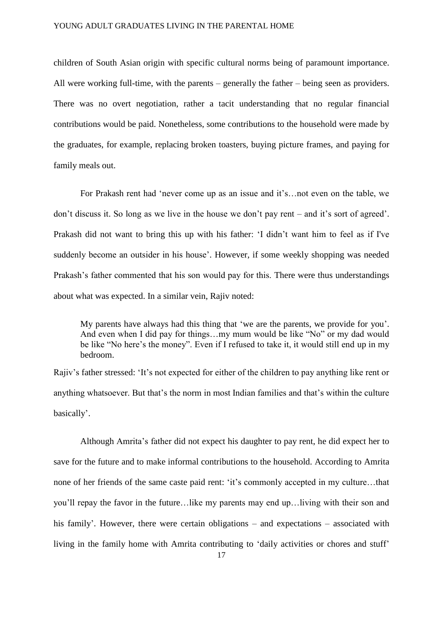children of South Asian origin with specific cultural norms being of paramount importance. All were working full-time, with the parents – generally the father – being seen as providers. There was no overt negotiation, rather a tacit understanding that no regular financial contributions would be paid. Nonetheless, some contributions to the household were made by the graduates, for example, replacing broken toasters, buying picture frames, and paying for family meals out.

For Prakash rent had 'never come up as an issue and it's…not even on the table, we don't discuss it. So long as we live in the house we don't pay rent – and it's sort of agreed'. Prakash did not want to bring this up with his father: 'I didn't want him to feel as if I've suddenly become an outsider in his house'. However, if some weekly shopping was needed Prakash's father commented that his son would pay for this. There were thus understandings about what was expected. In a similar vein, Rajiv noted:

My parents have always had this thing that 'we are the parents, we provide for you'. And even when I did pay for things…my mum would be like "No" or my dad would be like "No here's the money". Even if I refused to take it, it would still end up in my bedroom.

Rajiv's father stressed: 'It's not expected for either of the children to pay anything like rent or anything whatsoever. But that's the norm in most Indian families and that's within the culture basically'.

Although Amrita's father did not expect his daughter to pay rent, he did expect her to save for the future and to make informal contributions to the household. According to Amrita none of her friends of the same caste paid rent: 'it's commonly accepted in my culture…that you'll repay the favor in the future…like my parents may end up…living with their son and his family'. However, there were certain obligations – and expectations – associated with living in the family home with Amrita contributing to 'daily activities or chores and stuff'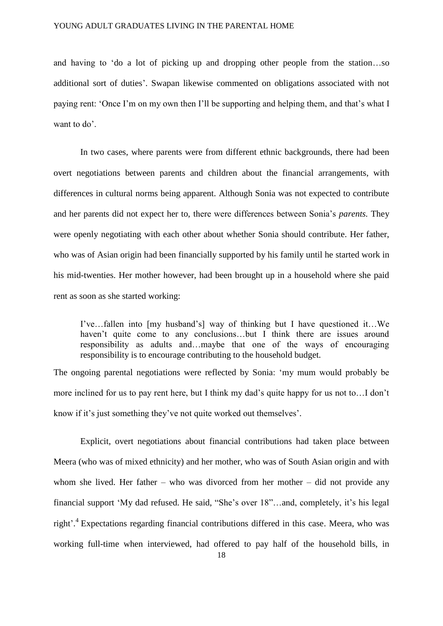and having to 'do a lot of picking up and dropping other people from the station…so additional sort of duties'. Swapan likewise commented on obligations associated with not paying rent: 'Once I'm on my own then I'll be supporting and helping them, and that's what I want to do'.

In two cases, where parents were from different ethnic backgrounds, there had been overt negotiations between parents and children about the financial arrangements, with differences in cultural norms being apparent. Although Sonia was not expected to contribute and her parents did not expect her to, there were differences between Sonia's *parents.* They were openly negotiating with each other about whether Sonia should contribute. Her father, who was of Asian origin had been financially supported by his family until he started work in his mid-twenties. Her mother however, had been brought up in a household where she paid rent as soon as she started working:

I've…fallen into [my husband's] way of thinking but I have questioned it…We haven't quite come to any conclusions...but I think there are issues around responsibility as adults and…maybe that one of the ways of encouraging responsibility is to encourage contributing to the household budget.

The ongoing parental negotiations were reflected by Sonia: 'my mum would probably be more inclined for us to pay rent here, but I think my dad's quite happy for us not to…I don't know if it's just something they've not quite worked out themselves'.

Explicit, overt negotiations about financial contributions had taken place between Meera (who was of mixed ethnicity) and her mother, who was of South Asian origin and with whom she lived. Her father – who was divorced from her mother – did not provide any financial support 'My dad refused. He said, "She's over 18"…and, completely, it's his legal right'. 4 Expectations regarding financial contributions differed in this case. Meera, who was working full-time when interviewed, had offered to pay half of the household bills, in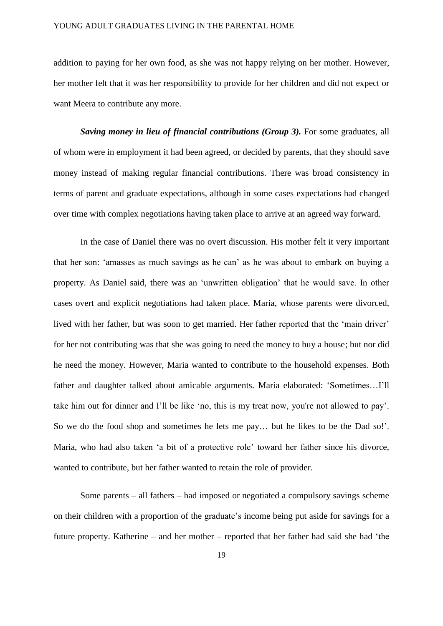addition to paying for her own food, as she was not happy relying on her mother. However, her mother felt that it was her responsibility to provide for her children and did not expect or want Meera to contribute any more.

*Saving money in lieu of financial contributions (Group 3).* For some graduates, all of whom were in employment it had been agreed, or decided by parents, that they should save money instead of making regular financial contributions. There was broad consistency in terms of parent and graduate expectations, although in some cases expectations had changed over time with complex negotiations having taken place to arrive at an agreed way forward.

In the case of Daniel there was no overt discussion. His mother felt it very important that her son: 'amasses as much savings as he can' as he was about to embark on buying a property. As Daniel said, there was an 'unwritten obligation' that he would save. In other cases overt and explicit negotiations had taken place. Maria, whose parents were divorced, lived with her father, but was soon to get married. Her father reported that the 'main driver' for her not contributing was that she was going to need the money to buy a house; but nor did he need the money. However, Maria wanted to contribute to the household expenses. Both father and daughter talked about amicable arguments. Maria elaborated: 'Sometimes…I'll take him out for dinner and I'll be like 'no, this is my treat now, you're not allowed to pay'. So we do the food shop and sometimes he lets me pay… but he likes to be the Dad so!'. Maria, who had also taken 'a bit of a protective role' toward her father since his divorce, wanted to contribute, but her father wanted to retain the role of provider.

Some parents – all fathers – had imposed or negotiated a compulsory savings scheme on their children with a proportion of the graduate's income being put aside for savings for a future property. Katherine – and her mother – reported that her father had said she had 'the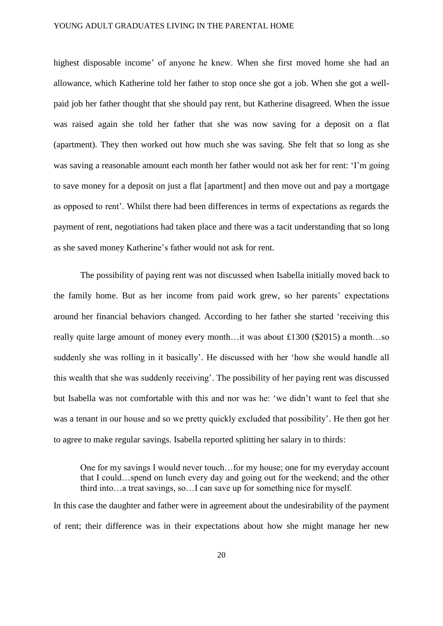highest disposable income' of anyone he knew. When she first moved home she had an allowance, which Katherine told her father to stop once she got a job. When she got a wellpaid job her father thought that she should pay rent, but Katherine disagreed. When the issue was raised again she told her father that she was now saving for a deposit on a flat (apartment). They then worked out how much she was saving. She felt that so long as she was saving a reasonable amount each month her father would not ask her for rent: 'I'm going to save money for a deposit on just a flat [apartment] and then move out and pay a mortgage as opposed to rent'. Whilst there had been differences in terms of expectations as regards the payment of rent, negotiations had taken place and there was a tacit understanding that so long as she saved money Katherine's father would not ask for rent.

The possibility of paying rent was not discussed when Isabella initially moved back to the family home. But as her income from paid work grew, so her parents' expectations around her financial behaviors changed. According to her father she started 'receiving this really quite large amount of money every month…it was about £1300 (\$2015) a month…so suddenly she was rolling in it basically'. He discussed with her 'how she would handle all this wealth that she was suddenly receiving'. The possibility of her paying rent was discussed but Isabella was not comfortable with this and nor was he: 'we didn't want to feel that she was a tenant in our house and so we pretty quickly excluded that possibility'. He then got her to agree to make regular savings. Isabella reported splitting her salary in to thirds:

One for my savings I would never touch…for my house; one for my everyday account that I could…spend on lunch every day and going out for the weekend; and the other third into…a treat savings, so…I can save up for something nice for myself.

In this case the daughter and father were in agreement about the undesirability of the payment of rent; their difference was in their expectations about how she might manage her new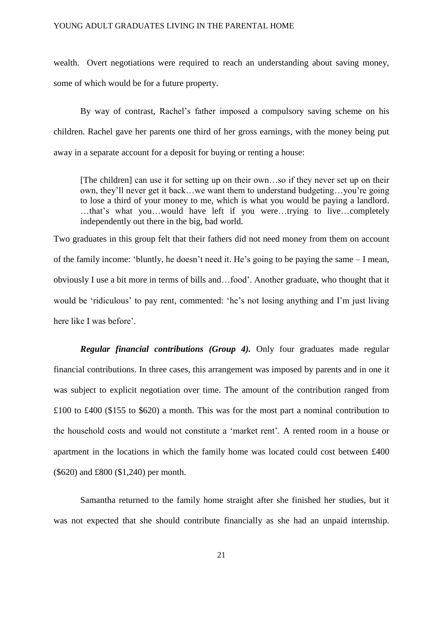wealth. Overt negotiations were required to reach an understanding about saving money, some of which would be for a future property.

By way of contrast, Rachel's father imposed a compulsory saving scheme on his children. Rachel gave her parents one third of her gross earnings, with the money being put away in a separate account for a deposit for buying or renting a house:

[The children] can use it for setting up on their own…so if they never set up on their own, they'll never get it back…we want them to understand budgeting…you're going to lose a third of your money to me, which is what you would be paying a landlord. …that's what you…would have left if you were…trying to live…completely independently out there in the big, bad world.

Two graduates in this group felt that their fathers did not need money from them on account of the family income: 'bluntly, he doesn't need it. He's going to be paying the same – I mean, obviously I use a bit more in terms of bills and…food'. Another graduate, who thought that it would be 'ridiculous' to pay rent, commented: 'he's not losing anything and I'm just living here like I was before'.

*Regular financial contributions (Group 4).* Only four graduates made regular financial contributions. In three cases, this arrangement was imposed by parents and in one it was subject to explicit negotiation over time. The amount of the contribution ranged from £100 to £400 (\$155 to \$620) a month. This was for the most part a nominal contribution to the household costs and would not constitute a 'market rent'. A rented room in a house or apartment in the locations in which the family home was located could cost between £400 (\$620) and £800 (\$1,240) per month.

Samantha returned to the family home straight after she finished her studies, but it was not expected that she should contribute financially as she had an unpaid internship.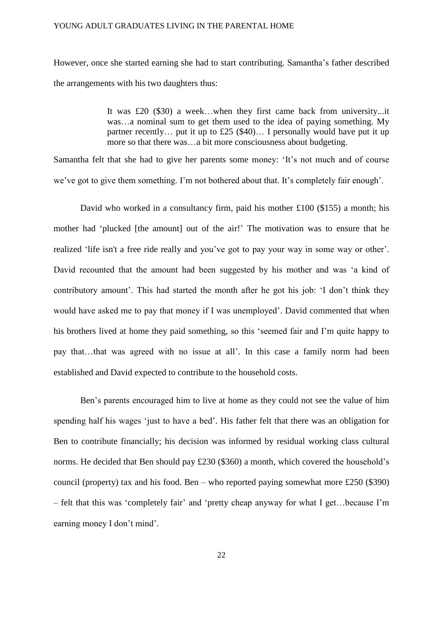However, once she started earning she had to start contributing. Samantha's father described the arrangements with his two daughters thus:

> It was £20 (\$30) a week…when they first came back from university...it was…a nominal sum to get them used to the idea of paying something. My partner recently... put it up to £25 (\$40)... I personally would have put it up more so that there was…a bit more consciousness about budgeting.

Samantha felt that she had to give her parents some money: 'It's not much and of course we've got to give them something. I'm not bothered about that. It's completely fair enough'.

David who worked in a consultancy firm, paid his mother £100 (\$155) a month; his mother had 'plucked [the amount] out of the air!' The motivation was to ensure that he realized 'life isn't a free ride really and you've got to pay your way in some way or other'. David recounted that the amount had been suggested by his mother and was 'a kind of contributory amount'. This had started the month after he got his job: 'I don't think they would have asked me to pay that money if I was unemployed'. David commented that when his brothers lived at home they paid something, so this 'seemed fair and I'm quite happy to pay that…that was agreed with no issue at all'. In this case a family norm had been established and David expected to contribute to the household costs.

Ben's parents encouraged him to live at home as they could not see the value of him spending half his wages 'just to have a bed'. His father felt that there was an obligation for Ben to contribute financially; his decision was informed by residual working class cultural norms. He decided that Ben should pay £230 (\$360) a month, which covered the household's council (property) tax and his food. Ben – who reported paying somewhat more £250 (\$390) – felt that this was 'completely fair' and 'pretty cheap anyway for what I get…because I'm earning money I don't mind'.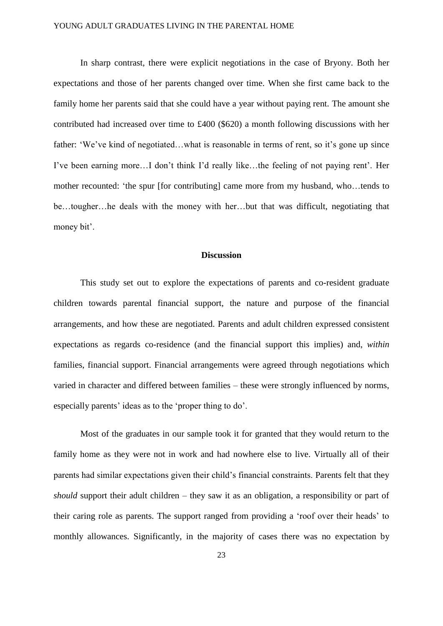In sharp contrast, there were explicit negotiations in the case of Bryony. Both her expectations and those of her parents changed over time. When she first came back to the family home her parents said that she could have a year without paying rent. The amount she contributed had increased over time to £400 (\$620) a month following discussions with her father: 'We've kind of negotiated…what is reasonable in terms of rent, so it's gone up since I've been earning more…I don't think I'd really like…the feeling of not paying rent'. Her mother recounted: 'the spur [for contributing] came more from my husband, who…tends to be…tougher…he deals with the money with her…but that was difficult, negotiating that money bit'.

#### **Discussion**

This study set out to explore the expectations of parents and co-resident graduate children towards parental financial support, the nature and purpose of the financial arrangements, and how these are negotiated. Parents and adult children expressed consistent expectations as regards co-residence (and the financial support this implies) and, *within* families, financial support. Financial arrangements were agreed through negotiations which varied in character and differed between families – these were strongly influenced by norms, especially parents' ideas as to the 'proper thing to do'.

Most of the graduates in our sample took it for granted that they would return to the family home as they were not in work and had nowhere else to live. Virtually all of their parents had similar expectations given their child's financial constraints. Parents felt that they *should* support their adult children – they saw it as an obligation, a responsibility or part of their caring role as parents. The support ranged from providing a 'roof over their heads' to monthly allowances. Significantly, in the majority of cases there was no expectation by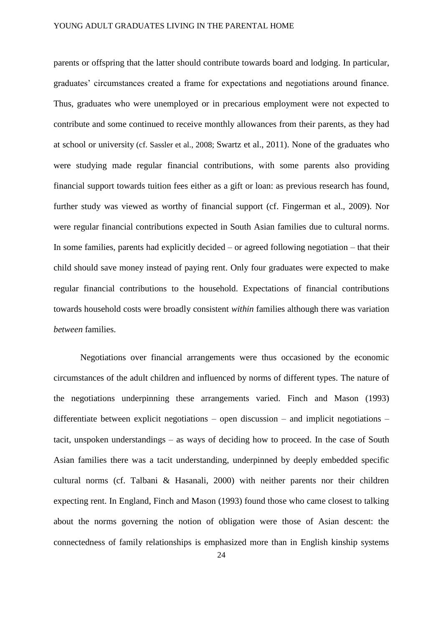parents or offspring that the latter should contribute towards board and lodging. In particular, graduates' circumstances created a frame for expectations and negotiations around finance. Thus, graduates who were unemployed or in precarious employment were not expected to contribute and some continued to receive monthly allowances from their parents, as they had at school or university (cf. Sassler et al., 2008; Swartz et al., 2011). None of the graduates who were studying made regular financial contributions, with some parents also providing financial support towards tuition fees either as a gift or loan: as previous research has found, further study was viewed as worthy of financial support (cf. Fingerman et al., 2009). Nor were regular financial contributions expected in South Asian families due to cultural norms. In some families, parents had explicitly decided – or agreed following negotiation – that their child should save money instead of paying rent. Only four graduates were expected to make regular financial contributions to the household. Expectations of financial contributions towards household costs were broadly consistent *within* families although there was variation *between* families.

Negotiations over financial arrangements were thus occasioned by the economic circumstances of the adult children and influenced by norms of different types. The nature of the negotiations underpinning these arrangements varied. Finch and Mason (1993) differentiate between explicit negotiations – open discussion – and implicit negotiations – tacit, unspoken understandings – as ways of deciding how to proceed. In the case of South Asian families there was a tacit understanding, underpinned by deeply embedded specific cultural norms (cf. Talbani & Hasanali, 2000) with neither parents nor their children expecting rent. In England, Finch and Mason (1993) found those who came closest to talking about the norms governing the notion of obligation were those of Asian descent: the connectedness of family relationships is emphasized more than in English kinship systems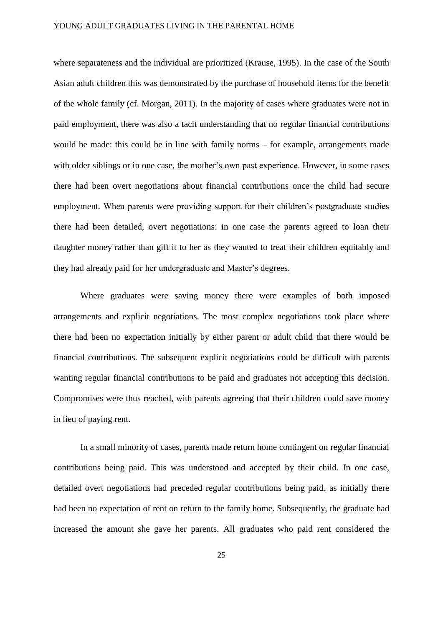where separateness and the individual are prioritized (Krause, 1995). In the case of the South Asian adult children this was demonstrated by the purchase of household items for the benefit of the whole family (cf. Morgan, 2011). In the majority of cases where graduates were not in paid employment, there was also a tacit understanding that no regular financial contributions would be made: this could be in line with family norms – for example, arrangements made with older siblings or in one case, the mother's own past experience. However, in some cases there had been overt negotiations about financial contributions once the child had secure employment. When parents were providing support for their children's postgraduate studies there had been detailed, overt negotiations: in one case the parents agreed to loan their daughter money rather than gift it to her as they wanted to treat their children equitably and they had already paid for her undergraduate and Master's degrees.

Where graduates were saving money there were examples of both imposed arrangements and explicit negotiations. The most complex negotiations took place where there had been no expectation initially by either parent or adult child that there would be financial contributions. The subsequent explicit negotiations could be difficult with parents wanting regular financial contributions to be paid and graduates not accepting this decision. Compromises were thus reached, with parents agreeing that their children could save money in lieu of paying rent.

In a small minority of cases, parents made return home contingent on regular financial contributions being paid. This was understood and accepted by their child. In one case, detailed overt negotiations had preceded regular contributions being paid, as initially there had been no expectation of rent on return to the family home. Subsequently, the graduate had increased the amount she gave her parents. All graduates who paid rent considered the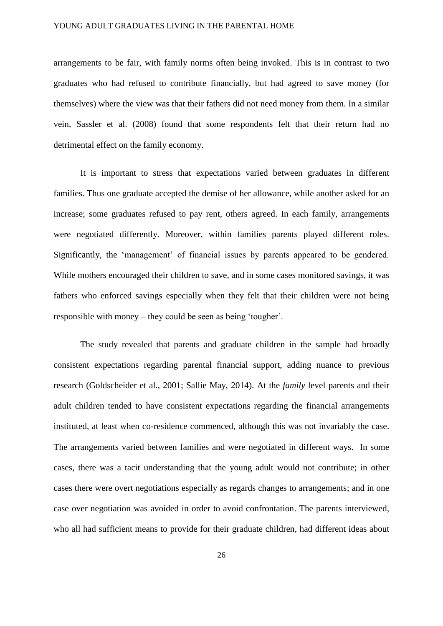arrangements to be fair, with family norms often being invoked. This is in contrast to two graduates who had refused to contribute financially, but had agreed to save money (for themselves) where the view was that their fathers did not need money from them. In a similar vein, Sassler et al. (2008) found that some respondents felt that their return had no detrimental effect on the family economy.

It is important to stress that expectations varied between graduates in different families. Thus one graduate accepted the demise of her allowance, while another asked for an increase; some graduates refused to pay rent, others agreed. In each family, arrangements were negotiated differently. Moreover, within families parents played different roles. Significantly, the 'management' of financial issues by parents appeared to be gendered. While mothers encouraged their children to save, and in some cases monitored savings, it was fathers who enforced savings especially when they felt that their children were not being responsible with money – they could be seen as being 'tougher'.

The study revealed that parents and graduate children in the sample had broadly consistent expectations regarding parental financial support, adding nuance to previous research (Goldscheider et al., 2001; Sallie May, 2014). At the *family* level parents and their adult children tended to have consistent expectations regarding the financial arrangements instituted, at least when co-residence commenced, although this was not invariably the case. The arrangements varied between families and were negotiated in different ways. In some cases, there was a tacit understanding that the young adult would not contribute; in other cases there were overt negotiations especially as regards changes to arrangements; and in one case over negotiation was avoided in order to avoid confrontation. The parents interviewed, who all had sufficient means to provide for their graduate children, had different ideas about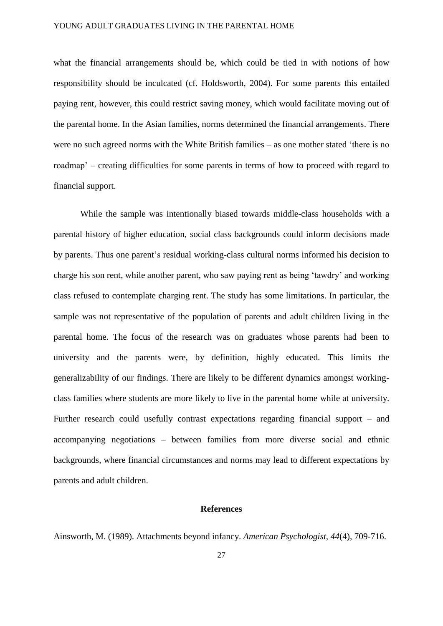what the financial arrangements should be, which could be tied in with notions of how responsibility should be inculcated (cf. Holdsworth, 2004). For some parents this entailed paying rent, however, this could restrict saving money, which would facilitate moving out of the parental home. In the Asian families, norms determined the financial arrangements. There were no such agreed norms with the White British families – as one mother stated 'there is no roadmap' – creating difficulties for some parents in terms of how to proceed with regard to financial support.

While the sample was intentionally biased towards middle-class households with a parental history of higher education, social class backgrounds could inform decisions made by parents. Thus one parent's residual working-class cultural norms informed his decision to charge his son rent, while another parent, who saw paying rent as being 'tawdry' and working class refused to contemplate charging rent. The study has some limitations. In particular, the sample was not representative of the population of parents and adult children living in the parental home. The focus of the research was on graduates whose parents had been to university and the parents were, by definition, highly educated. This limits the generalizability of our findings. There are likely to be different dynamics amongst workingclass families where students are more likely to live in the parental home while at university. Further research could usefully contrast expectations regarding financial support – and accompanying negotiations – between families from more diverse social and ethnic backgrounds, where financial circumstances and norms may lead to different expectations by parents and adult children.

#### **References**

Ainsworth, M. (1989). Attachments beyond infancy. *American Psychologist, 44*(4), 709-716.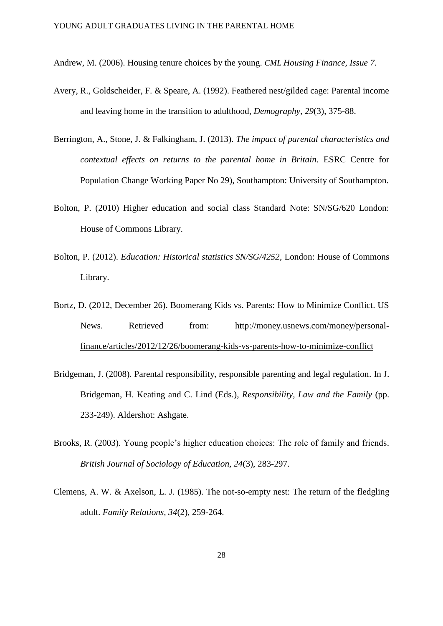- Andrew, M. (2006). Housing tenure choices by the young. *CML Housing Finance, Issue 7.*
- Avery, R., Goldscheider, F. & Speare, A. (1992). Feathered nest/gilded cage: Parental income and leaving home in the transition to adulthood, *Demography, 29*(3), 375-88.
- Berrington, A., Stone, J. & Falkingham, J. (2013). *The impact of parental characteristics and contextual effects on returns to the parental home in Britain.* ESRC Centre for Population Change Working Paper No 29), Southampton: University of Southampton.
- Bolton, P. (2010) Higher education and social class Standard Note: SN/SG/620 London: House of Commons Library.
- Bolton, P. (2012). *Education: Historical statistics SN/SG/4252*, London: House of Commons Library.
- Bortz, D. (2012, December 26). Boomerang Kids vs. Parents: How to Minimize Conflict. US News. Retrieved from: [http://money.usnews.com/money/personal](http://money.usnews.com/money/personal-finance/articles/2012/12/26/boomerang-kids-vs-parents-how-to-minimize-conflict)[finance/articles/2012/12/26/boomerang-kids-vs-parents-how-to-minimize-conflict](http://money.usnews.com/money/personal-finance/articles/2012/12/26/boomerang-kids-vs-parents-how-to-minimize-conflict)
- Bridgeman, J. (2008). Parental responsibility, responsible parenting and legal regulation. In J. Bridgeman, H. Keating and C. Lind (Eds.), *Responsibility, Law and the Family* (pp. 233-249). Aldershot: Ashgate.
- Brooks, R. (2003). Young people's higher education choices: The role of family and friends. *British Journal of Sociology of Education, 24*(3), 283-297.
- Clemens, A. W. & Axelson, L. J. (1985). The not-so-empty nest: The return of the fledgling adult. *Family Relations, 34*(2), 259-264.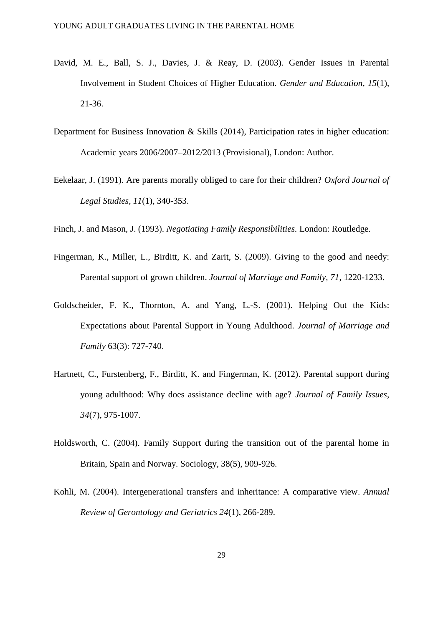- David, M. E., Ball, S. J., Davies, J. & Reay, D. (2003). Gender Issues in Parental Involvement in Student Choices of Higher Education. *Gender and Education, 15*(1), 21-36.
- Department for Business Innovation & Skills (2014), Participation rates in higher education: Academic years 2006/2007–2012/2013 (Provisional), London: Author.
- Eekelaar, J. (1991). Are parents morally obliged to care for their children? *Oxford Journal of Legal Studies, 11*(1), 340-353.

Finch, J. and Mason, J. (1993). *Negotiating Family Responsibilities.* London: Routledge.

- Fingerman, K., Miller, L., Birditt, K. and Zarit, S. (2009). Giving to the good and needy: Parental support of grown children. *Journal of Marriage and Family, 71*, 1220-1233.
- Goldscheider, F. K., Thornton, A. and Yang, L.-S. (2001). Helping Out the Kids: Expectations about Parental Support in Young Adulthood. *Journal of Marriage and Family* 63(3): 727-740.
- Hartnett, C., Furstenberg, F., Birditt, K. and Fingerman, K. (2012). Parental support during young adulthood: Why does assistance decline with age? *Journal of Family Issues*, *34*(7), 975-1007.
- Holdsworth, C. (2004). Family Support during the transition out of the parental home in Britain, Spain and Norway. Sociology, 38(5), 909-926.
- Kohli, M. (2004). Intergenerational transfers and inheritance: A comparative view. *Annual Review of Gerontology and Geriatrics 24*(1), 266-289.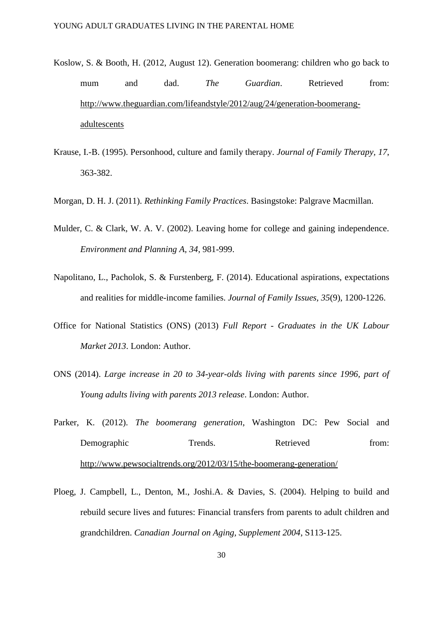- Koslow, S. & Booth, H. (2012, August 12). Generation boomerang: children who go back to mum and dad. *The Guardian*. Retrieved from: [http://www.theguardian.com/lifeandstyle/2012/aug/24/generation-boomerang](http://www.theguardian.com/lifeandstyle/2012/aug/24/generation-boomerang-adultescents)[adultescents](http://www.theguardian.com/lifeandstyle/2012/aug/24/generation-boomerang-adultescents)
- Krause, I.-B. (1995). Personhood, culture and family therapy. *Journal of Family Therapy, 17*, 363-382.
- Morgan, D. H. J. (2011). *Rethinking Family Practices*. Basingstoke: Palgrave Macmillan.
- Mulder, C. & Clark, W. A. V. (2002). Leaving home for college and gaining independence. *Environment and Planning A, 34*, 981-999.
- Napolitano, L., Pacholok, S. & Furstenberg, F. (2014). Educational aspirations, expectations and realities for middle-income families. *Journal of Family Issues, 35*(9), 1200-1226.
- Office for National Statistics (ONS) (2013) *Full Report - Graduates in the UK Labour Market 2013*. London: Author.
- ONS (2014). *Large increase in 20 to 34-year-olds living with parents since 1996, part of Young adults living with parents 2013 release*. London: Author.
- Parker, K. (2012). *The boomerang generation*, Washington DC: Pew Social and Demographic Trends. Retrieved from: <http://www.pewsocialtrends.org/2012/03/15/the-boomerang-generation/>
- Ploeg, J. Campbell, L., Denton, M., Joshi.A. & Davies, S. (2004). Helping to build and rebuild secure lives and futures: Financial transfers from parents to adult children and grandchildren. *Canadian Journal on Aging, Supplement 2004*, S113-125.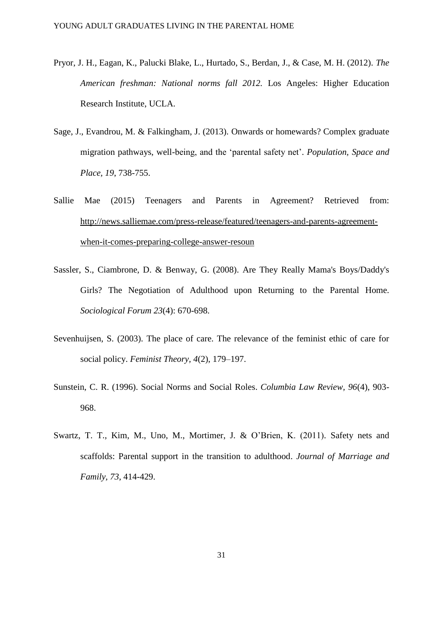- Pryor, J. H., Eagan, K., Palucki Blake, L., Hurtado, S., Berdan, J., & Case, M. H. (2012). *The American freshman: National norms fall 2012.* Los Angeles: Higher Education Research Institute, UCLA.
- Sage, J., Evandrou, M. & Falkingham, J. (2013). Onwards or homewards? Complex graduate migration pathways, well-being, and the 'parental safety net'. *Population, Space and Place, 19*, 738-755.
- Sallie Mae (2015) Teenagers and Parents in Agreement? Retrieved from: [http://news.salliemae.com/press-release/featured/teenagers-and-parents-agreement](http://news.salliemae.com/press-release/featured/teenagers-and-parents-agreement-when-it-comes-preparing-college-answer-resoun)[when-it-comes-preparing-college-answer-resoun](http://news.salliemae.com/press-release/featured/teenagers-and-parents-agreement-when-it-comes-preparing-college-answer-resoun)
- Sassler, S., Ciambrone, D. & Benway, G. (2008). Are They Really Mama's Boys/Daddy's Girls? The Negotiation of Adulthood upon Returning to the Parental Home. *Sociological Forum 23*(4): 670-698.
- Sevenhuijsen, S. (2003). The place of care. The relevance of the feminist ethic of care for social policy. *Feminist Theory, 4*(2), 179–197.
- Sunstein, C. R. (1996). Social Norms and Social Roles. *Columbia Law Review, 96*(4), 903- 968.
- Swartz, T. T., Kim, M., Uno, M., Mortimer, J. & O'Brien, K. (2011). Safety nets and scaffolds: Parental support in the transition to adulthood. *Journal of Marriage and Family, 73*, 414-429.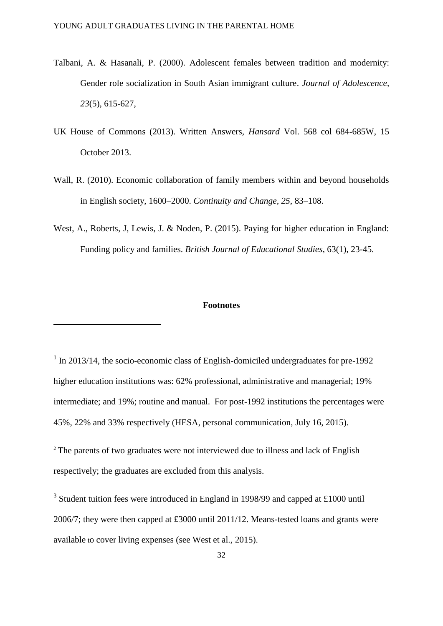- Talbani, A. & Hasanali, P. (2000). Adolescent females between tradition and modernity: Gender role socialization in South Asian immigrant culture. *Journal of Adolescence, 23*(5), 615-627,
- UK House of Commons (2013). Written Answers, *Hansard* Vol. 568 col 684-685W, 15 October 2013.
- Wall, R. (2010). Economic collaboration of family members within and beyond households in English society, 1600–2000. *Continuity and Change, 25*, 83–108.
- West, A., Roberts, J. Lewis, J. & Noden, P. (2015). Paying for higher education in England: Funding policy and families. *British Journal of Educational Studies*, 63(1), 23-45.

#### **Footnotes**

1

<sup>1</sup> In 2013/14, the socio-economic class of English-domiciled undergraduates for pre-1992 higher education institutions was: 62% professional, administrative and managerial; 19% intermediate; and 19%; routine and manual. For post-1992 institutions the percentages were 45%, 22% and 33% respectively (HESA, personal communication, July 16, 2015).

<sup>2</sup> The parents of two graduates were not interviewed due to illness and lack of English respectively; the graduates are excluded from this analysis.

<sup>3</sup> Student tuition fees were introduced in England in 1998/99 and capped at £1000 until 2006/7; they were then capped at £3000 until 2011/12. Means-tested loans and grants were available to cover living expenses (see West et al., 2015).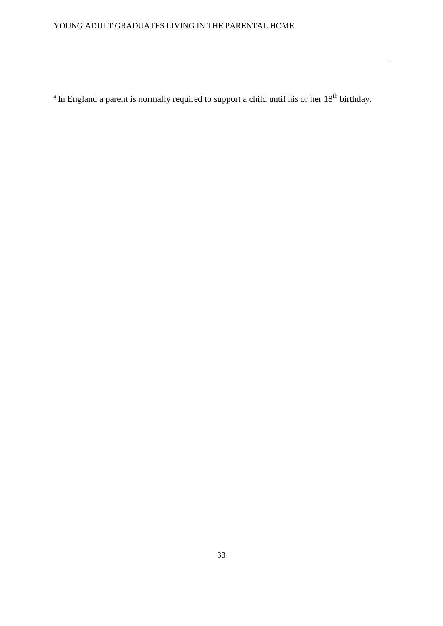-

 $4$  In England a parent is normally required to support a child until his or her  $18<sup>th</sup>$  birthday.